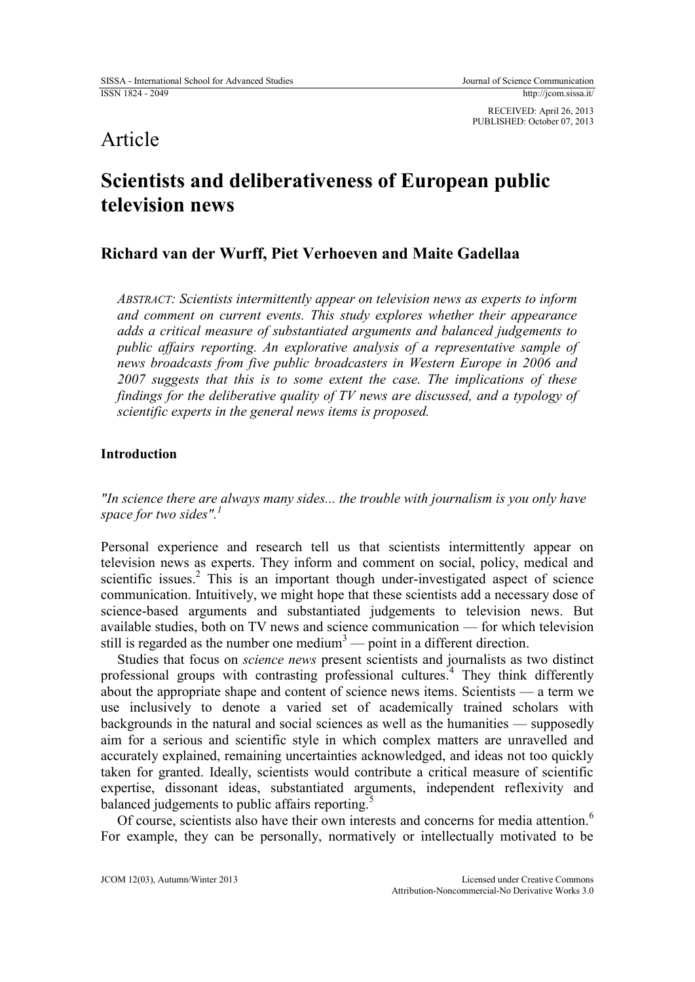RECEIVED: April 26, 2013 PUBLISHED: October 07, 2013

# Article

# **Scientists and deliberativeness of European public television news**

# **Richard van der Wurff, Piet Verhoeven and Maite Gadellaa**

*ABSTRACT: Scientists intermittently appear on television news as experts to inform and comment on current events. This study explores whether their appearance adds a critical measure of substantiated arguments and balanced judgements to public affairs reporting. An explorative analysis of a representative sample of news broadcasts from five public broadcasters in Western Europe in 2006 and 2007 suggests that this is to some extent the case. The implications of these findings for the deliberative quality of TV news are discussed, and a typology of scientific experts in the general news items is proposed.*

## **Introduction**

*"In science there are always many sides... the trouble with journalism is you only have space for two sides".<sup>1</sup>*

Personal experience and research tell us that scientists intermittently appear on television news as experts. They inform and comment on social, policy, medical and scientific issues.<sup>2</sup> This is an important though under-investigated aspect of science communication. Intuitively, we might hope that these scientists add a necessary dose of science-based arguments and substantiated judgements to television news. But available studies, both on TV news and science communication — for which television still is regarded as the number one medium<sup>3</sup> — point in a different direction.

Studies that focus on *science news* present scientists and journalists as two distinct professional groups with contrasting professional cultures.<sup>4</sup> They think differently about the appropriate shape and content of science news items. Scientists — a term we use inclusively to denote a varied set of academically trained scholars with backgrounds in the natural and social sciences as well as the humanities — supposedly aim for a serious and scientific style in which complex matters are unravelled and accurately explained, remaining uncertainties acknowledged, and ideas not too quickly taken for granted. Ideally, scientists would contribute a critical measure of scientific expertise, dissonant ideas, substantiated arguments, independent reflexivity and balanced judgements to public affairs reporting.<sup>5</sup>

Of course, scientists also have their own interests and concerns for media attention.<sup>6</sup> For example, they can be personally, normatively or intellectually motivated to be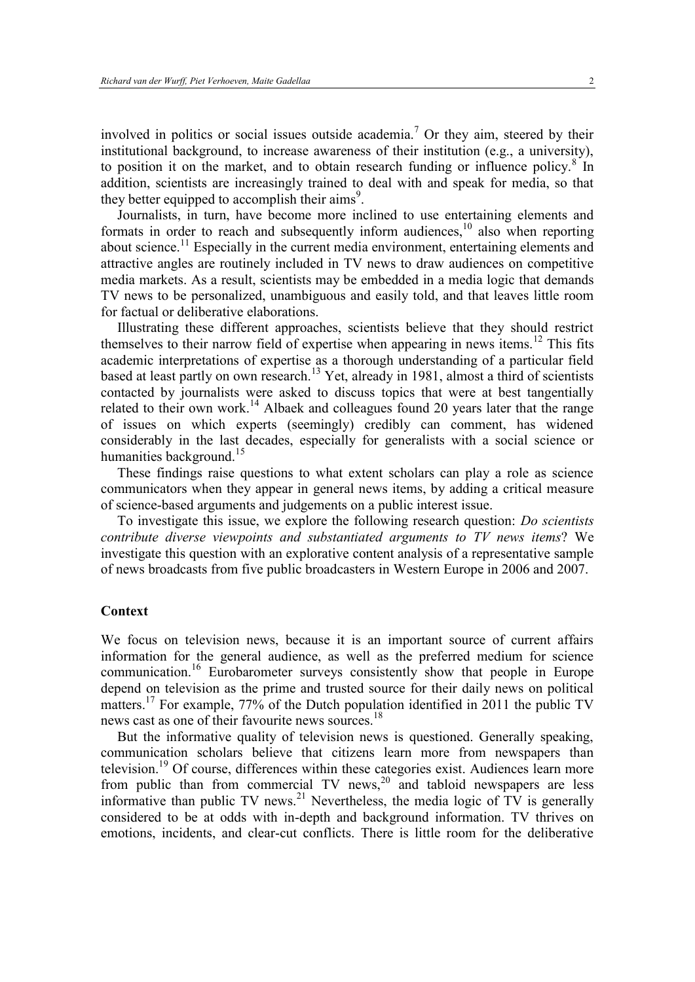involved in politics or social issues outside academia.<sup>7</sup> Or they aim, steered by their institutional background, to increase awareness of their institution (e.g., a university), to position it on the market, and to obtain research funding or influence policy.<sup>8</sup> In addition, scientists are increasingly trained to deal with and speak for media, so that they better equipped to accomplish their aims<sup>9</sup>.

Journalists, in turn, have become more inclined to use entertaining elements and formats in order to reach and subsequently inform audiences,<sup>10</sup> also when reporting about science.<sup>11</sup> Especially in the current media environment, entertaining elements and attractive angles are routinely included in TV news to draw audiences on competitive media markets. As a result, scientists may be embedded in a media logic that demands TV news to be personalized, unambiguous and easily told, and that leaves little room for factual or deliberative elaborations.

Illustrating these different approaches, scientists believe that they should restrict themselves to their narrow field of expertise when appearing in news items.<sup>12</sup> This fits academic interpretations of expertise as a thorough understanding of a particular field based at least partly on own research.<sup>13</sup> Yet, already in 1981, almost a third of scientists contacted by journalists were asked to discuss topics that were at best tangentially related to their own work.<sup>14</sup> Albaek and colleagues found 20 years later that the range of issues on which experts (seemingly) credibly can comment, has widened considerably in the last decades, especially for generalists with a social science or humanities background.<sup>15</sup>

These findings raise questions to what extent scholars can play a role as science communicators when they appear in general news items, by adding a critical measure of science-based arguments and judgements on a public interest issue.

To investigate this issue, we explore the following research question: *Do scientists contribute diverse viewpoints and substantiated arguments to TV news items*? We investigate this question with an explorative content analysis of a representative sample of news broadcasts from five public broadcasters in Western Europe in 2006 and 2007.

#### **Context**

We focus on television news, because it is an important source of current affairs information for the general audience, as well as the preferred medium for science communication.<sup>16</sup> Eurobarometer surveys consistently show that people in Europe depend on television as the prime and trusted source for their daily news on political matters.<sup>17</sup> For example, 77% of the Dutch population identified in 2011 the public TV news cast as one of their favourite news sources.<sup>18</sup>

But the informative quality of television news is questioned. Generally speaking, communication scholars believe that citizens learn more from newspapers than television.<sup>19</sup> Of course, differences within these categories exist. Audiences learn more from public than from commercial TV news,<sup>20</sup> and tabloid newspapers are less informative than public TV news.<sup>21</sup> Nevertheless, the media logic of TV is generally considered to be at odds with in-depth and background information. TV thrives on emotions, incidents, and clear-cut conflicts. There is little room for the deliberative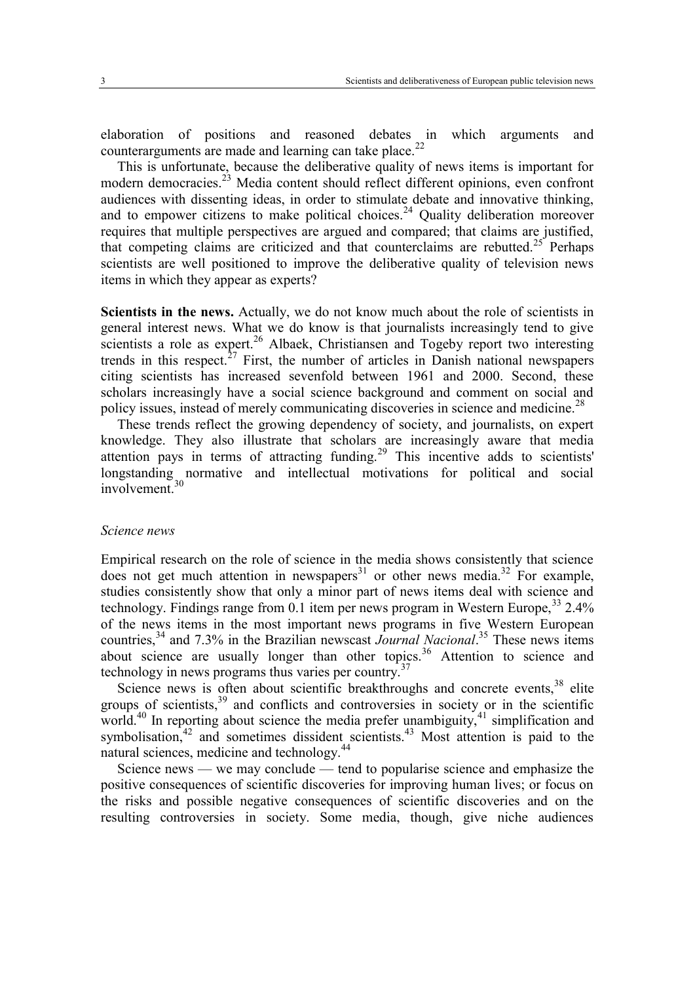elaboration of positions and reasoned debates in which arguments and counterarguments are made and learning can take place.<sup>22</sup>

This is unfortunate, because the deliberative quality of news items is important for modern democracies.<sup>23</sup> Media content should reflect different opinions, even confront audiences with dissenting ideas, in order to stimulate debate and innovative thinking, and to empower citizens to make political choices.<sup>24</sup> Quality deliberation moreover requires that multiple perspectives are argued and compared; that claims are justified, that competing claims are criticized and that counterclaims are rebutted.<sup>25</sup> Perhaps scientists are well positioned to improve the deliberative quality of television news items in which they appear as experts?

**Scientists in the news.** Actually, we do not know much about the role of scientists in general interest news. What we do know is that journalists increasingly tend to give scientists a role as expert.<sup>26</sup> Albaek, Christiansen and Togeby report two interesting trends in this respect.<sup> $27$ </sup> First, the number of articles in Danish national newspapers citing scientists has increased sevenfold between 1961 and 2000. Second, these scholars increasingly have a social science background and comment on social and policy issues, instead of merely communicating discoveries in science and medicine.<sup>28</sup>

These trends reflect the growing dependency of society, and journalists, on expert knowledge. They also illustrate that scholars are increasingly aware that media attention pays in terms of attracting funding.<sup>29</sup> This incentive adds to scientists' longstanding normative and intellectual motivations for political and social involvement $^{30}$ 

#### *Science news*

Empirical research on the role of science in the media shows consistently that science does not get much attention in newspapers<sup>31</sup> or other news media.<sup>32</sup> For example, studies consistently show that only a minor part of news items deal with science and technology. Findings range from 0.1 item per news program in Western Europe,  $33\,2.4\%$ of the news items in the most important news programs in five Western European countries,<sup>34</sup> and 7.3% in the Brazilian newscast *Journal Nacional*. <sup>35</sup> These news items about science are usually longer than other topics.<sup>36</sup> Attention to science and technology in news programs thus varies per country.<sup>37</sup>

Science news is often about scientific breakthroughs and concrete events,  $38$  elite groups of scientists, $39$  and conflicts and controversies in society or in the scientific world.<sup>40</sup> In reporting about science the media prefer unambiguity,<sup>41</sup> simplification and symbolisation,<sup>42</sup> and sometimes dissident scientists.<sup>43</sup> Most attention is paid to the natural sciences, medicine and technology.<sup>44</sup>

Science news — we may conclude — tend to popularise science and emphasize the positive consequences of scientific discoveries for improving human lives; or focus on the risks and possible negative consequences of scientific discoveries and on the resulting controversies in society. Some media, though, give niche audiences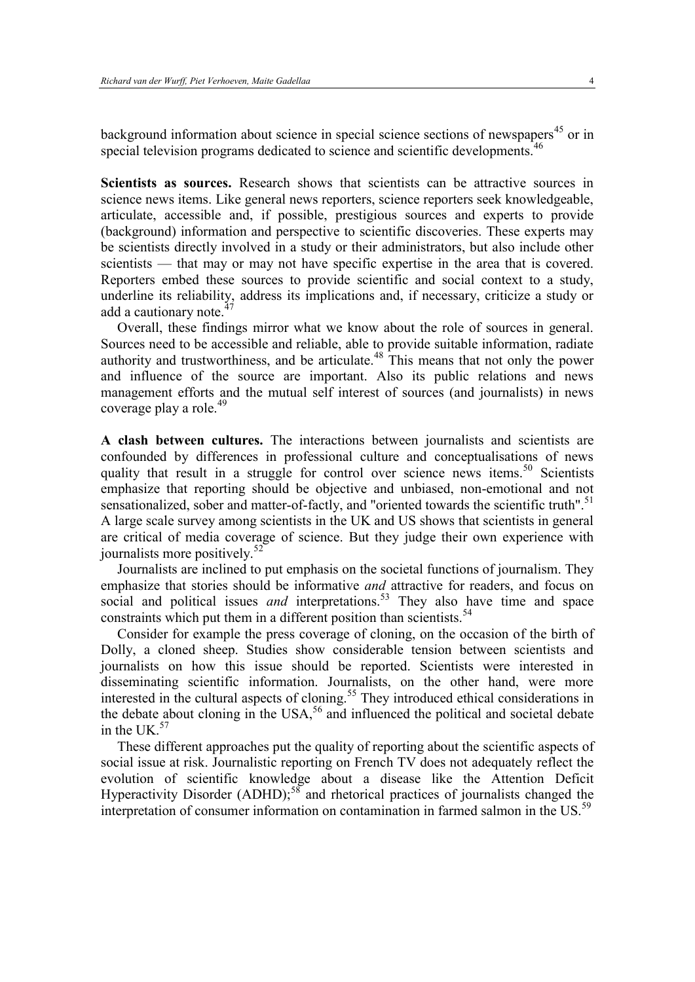background information about science in special science sections of newspapers<sup>45</sup> or in special television programs dedicated to science and scientific developments.<sup>46</sup>

**Scientists as sources.** Research shows that scientists can be attractive sources in science news items. Like general news reporters, science reporters seek knowledgeable, articulate, accessible and, if possible, prestigious sources and experts to provide (background) information and perspective to scientific discoveries. These experts may be scientists directly involved in a study or their administrators, but also include other scientists — that may or may not have specific expertise in the area that is covered. Reporters embed these sources to provide scientific and social context to a study, underline its reliability, address its implications and, if necessary, criticize a study or add a cautionary note.<sup>4</sup>

Overall, these findings mirror what we know about the role of sources in general. Sources need to be accessible and reliable, able to provide suitable information, radiate authority and trustworthiness, and be articulate.<sup>48</sup> This means that not only the power and influence of the source are important. Also its public relations and news management efforts and the mutual self interest of sources (and journalists) in news coverage play a role.<sup>49</sup>

**A clash between cultures.** The interactions between journalists and scientists are confounded by differences in professional culture and conceptualisations of news quality that result in a struggle for control over science news items.<sup>50</sup> Scientists emphasize that reporting should be objective and unbiased, non-emotional and not sensationalized, sober and matter-of-factly, and "oriented towards the scientific truth".<sup>51</sup> A large scale survey among scientists in the UK and US shows that scientists in general are critical of media coverage of science. But they judge their own experience with journalists more positively. $52$ 

Journalists are inclined to put emphasis on the societal functions of journalism. They emphasize that stories should be informative *and* attractive for readers, and focus on social and political issues *and* interpretations.<sup>53</sup> They also have time and space constraints which put them in a different position than scientists.<sup>54</sup>

Consider for example the press coverage of cloning, on the occasion of the birth of Dolly, a cloned sheep. Studies show considerable tension between scientists and journalists on how this issue should be reported. Scientists were interested in disseminating scientific information. Journalists, on the other hand, were more interested in the cultural aspects of cloning.<sup>55</sup> They introduced ethical considerations in the debate about cloning in the  $USA<sub>56</sub>$  and influenced the political and societal debate in the UK $57$ 

These different approaches put the quality of reporting about the scientific aspects of social issue at risk. Journalistic reporting on French TV does not adequately reflect the evolution of scientific knowledge about a disease like the Attention Deficit Hyperactivity Disorder (ADHD);<sup>58</sup> and rhetorical practices of journalists changed the interpretation of consumer information on contamination in farmed salmon in the US.<sup>59</sup>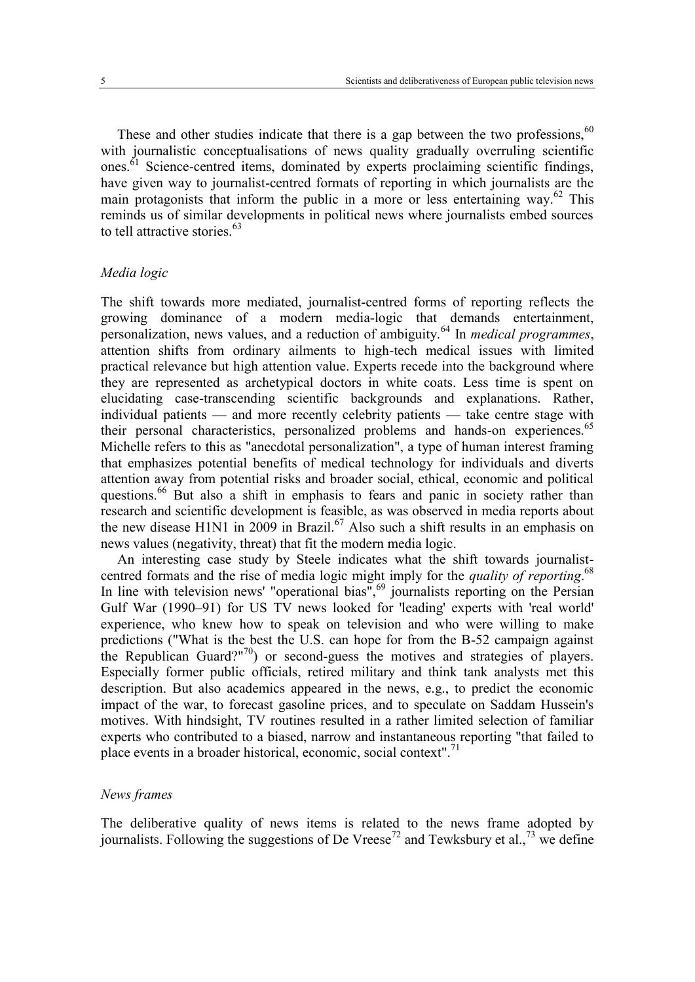These and other studies indicate that there is a gap between the two professions.<sup>60</sup> with journalistic conceptualisations of news quality gradually overruling scientific ones.<sup>61</sup> Science-centred items, dominated by experts proclaiming scientific findings, have given way to journalist-centred formats of reporting in which journalists are the main protagonists that inform the public in a more or less entertaining way.<sup>62</sup> This reminds us of similar developments in political news where journalists embed sources to tell attractive stories.<sup>63</sup>

#### *Media logic*

The shift towards more mediated, journalist-centred forms of reporting reflects the growing dominance of a modern media-logic that demands entertainment, personalization, news values, and a reduction of ambiguity.<sup>64</sup> In *medical programmes*, attention shifts from ordinary ailments to high-tech medical issues with limited practical relevance but high attention value. Experts recede into the background where they are represented as archetypical doctors in white coats. Less time is spent on elucidating case-transcending scientific backgrounds and explanations. Rather, individual patients — and more recently celebrity patients — take centre stage with their personal characteristics, personalized problems and hands-on experiences.<sup>65</sup> Michelle refers to this as "anecdotal personalization", a type of human interest framing that emphasizes potential benefits of medical technology for individuals and diverts attention away from potential risks and broader social, ethical, economic and political questions.<sup>66</sup> But also a shift in emphasis to fears and panic in society rather than research and scientific development is feasible, as was observed in media reports about the new disease H1N1 in 2009 in Brazil.<sup>67</sup> Also such a shift results in an emphasis on news values (negativity, threat) that fit the modern media logic.

An interesting case study by Steele indicates what the shift towards journalistcentred formats and the rise of media logic might imply for the *quality of reporting*. 68 In line with television news' "operational bias",<sup>69</sup> journalists reporting on the Persian Gulf War (1990–91) for US TV news looked for 'leading' experts with 'real world' experience, who knew how to speak on television and who were willing to make predictions ("What is the best the U.S. can hope for from the B-52 campaign against the Republican Guard?"<sup>70</sup>) or second-guess the motives and strategies of players. Especially former public officials, retired military and think tank analysts met this description. But also academics appeared in the news, e.g., to predict the economic impact of the war, to forecast gasoline prices, and to speculate on Saddam Hussein's motives. With hindsight, TV routines resulted in a rather limited selection of familiar experts who contributed to a biased, narrow and instantaneous reporting "that failed to place events in a broader historical, economic, social context".<sup>71</sup>

#### *News frames*

The deliberative quality of news items is related to the news frame adopted by journalists. Following the suggestions of De Vreese<sup>72</sup> and Tewksbury et al.,<sup>73</sup> we define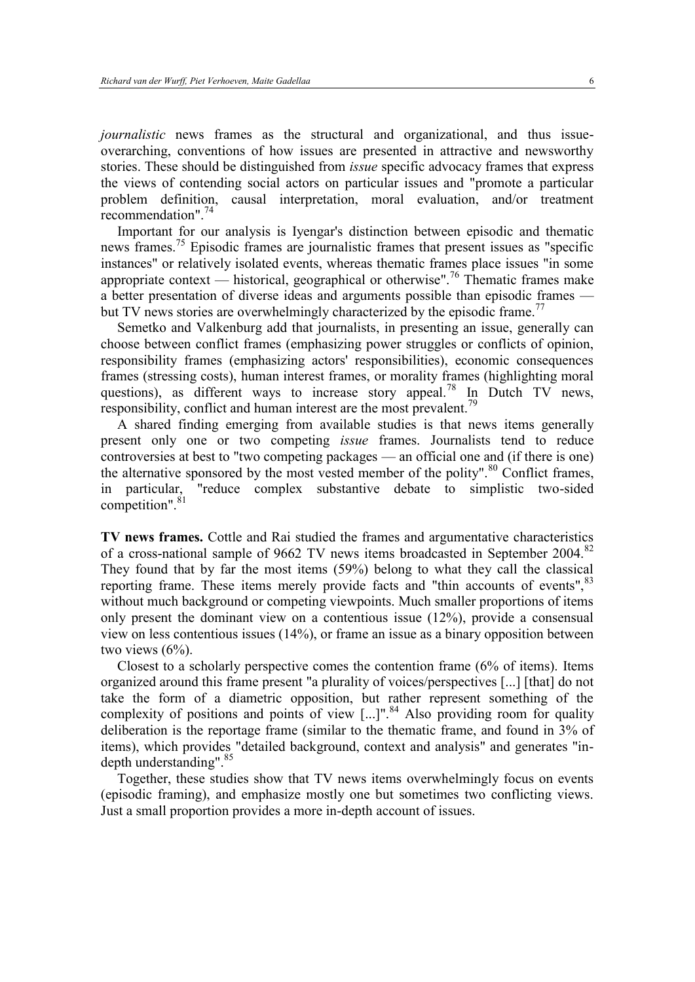*journalistic* news frames as the structural and organizational, and thus issueoverarching, conventions of how issues are presented in attractive and newsworthy stories. These should be distinguished from *issue* specific advocacy frames that express the views of contending social actors on particular issues and "promote a particular problem definition, causal interpretation, moral evaluation, and/or treatment recommendation".<sup>74</sup>

Important for our analysis is Iyengar's distinction between episodic and thematic news frames.<sup>75</sup> Episodic frames are journalistic frames that present issues as "specific instances" or relatively isolated events, whereas thematic frames place issues "in some appropriate context — historical, geographical or otherwise".<sup>76</sup> Thematic frames make a better presentation of diverse ideas and arguments possible than episodic frames but TV news stories are overwhelmingly characterized by the episodic frame.<sup>77</sup>

Semetko and Valkenburg add that journalists, in presenting an issue, generally can choose between conflict frames (emphasizing power struggles or conflicts of opinion, responsibility frames (emphasizing actors' responsibilities), economic consequences frames (stressing costs), human interest frames, or morality frames (highlighting moral questions), as different ways to increase story appeal.<sup>78</sup> In Dutch TV news, responsibility, conflict and human interest are the most prevalent.<sup>79</sup>

A shared finding emerging from available studies is that news items generally present only one or two competing *issue* frames. Journalists tend to reduce controversies at best to "two competing packages — an official one and (if there is one) the alternative sponsored by the most vested member of the polity".<sup>80</sup> Conflict frames, in particular, "reduce complex substantive debate to simplistic two-sided competition".<sup>81</sup>

**TV news frames.** Cottle and Rai studied the frames and argumentative characteristics of a cross-national sample of 9662 TV news items broadcasted in September 2004.<sup>82</sup> They found that by far the most items (59%) belong to what they call the classical reporting frame. These items merely provide facts and "thin accounts of events", 83 without much background or competing viewpoints. Much smaller proportions of items only present the dominant view on a contentious issue (12%), provide a consensual view on less contentious issues (14%), or frame an issue as a binary opposition between two views  $(6%)$ .

Closest to a scholarly perspective comes the contention frame (6% of items). Items organized around this frame present "a plurality of voices/perspectives [...] [that] do not take the form of a diametric opposition, but rather represent something of the complexity of positions and points of view  $\left[...\right]$ ".<sup>84</sup> Also providing room for quality deliberation is the reportage frame (similar to the thematic frame, and found in 3% of items), which provides "detailed background, context and analysis" and generates "indepth understanding". 85

Together, these studies show that TV news items overwhelmingly focus on events (episodic framing), and emphasize mostly one but sometimes two conflicting views. Just a small proportion provides a more in-depth account of issues.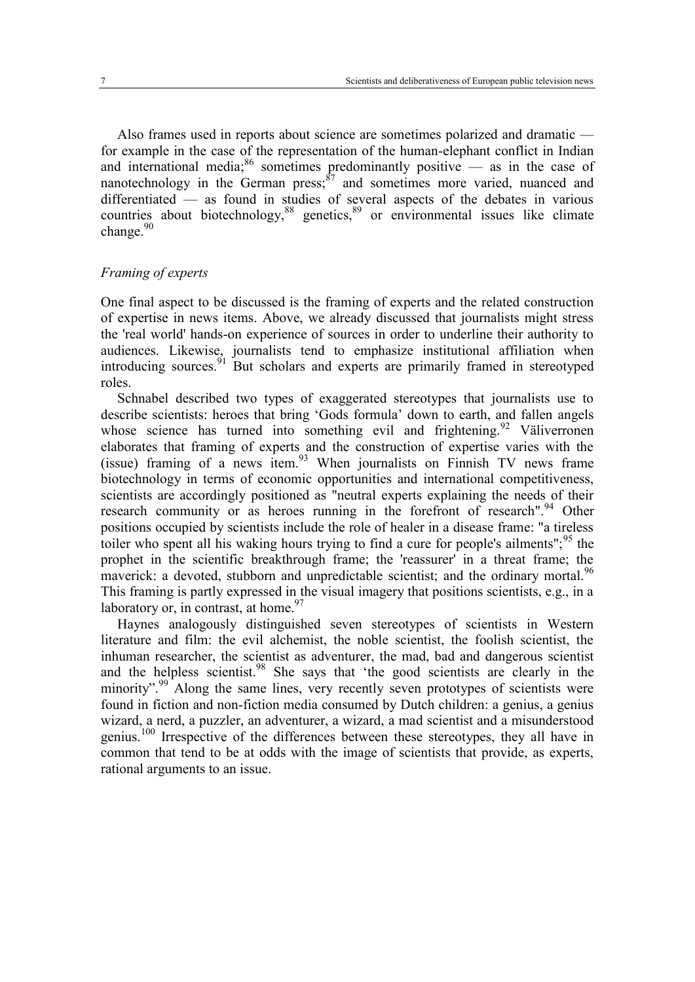Also frames used in reports about science are sometimes polarized and dramatic for example in the case of the representation of the human-elephant conflict in Indian and international media;  $86$  sometimes predominantly positive — as in the case of nanotechnology in the German  $press$ ,  $\frac{87}{7}$  and sometimes more varied, nuanced and differentiated — as found in studies of several aspects of the debates in various countries about biotechnology,<sup>88</sup> genetics,<sup>89</sup> or environmental issues like climate change.<sup>90</sup>

### *Framing of experts*

One final aspect to be discussed is the framing of experts and the related construction of expertise in news items. Above, we already discussed that journalists might stress the 'real world' hands-on experience of sources in order to underline their authority to audiences. Likewise, journalists tend to emphasize institutional affiliation when introducing sources.  $\frac{91}{1}$  But scholars and experts are primarily framed in stereotyped roles.

Schnabel described two types of exaggerated stereotypes that journalists use to describe scientists: heroes that bring 'Gods formula' down to earth, and fallen angels whose science has turned into something evil and frightening.<sup>92</sup> Väliverronen elaborates that framing of experts and the construction of expertise varies with the (issue) framing of a news item. $93$  When journalists on Finnish TV news frame biotechnology in terms of economic opportunities and international competitiveness, scientists are accordingly positioned as "neutral experts explaining the needs of their research community or as heroes running in the forefront of research".<sup>94</sup> Other positions occupied by scientists include the role of healer in a disease frame: "a tireless toiler who spent all his waking hours trying to find a cure for people's ailments";<sup>95</sup> the prophet in the scientific breakthrough frame; the 'reassurer' in a threat frame; the maverick: a devoted, stubborn and unpredictable scientist; and the ordinary mortal.<sup>96</sup> This framing is partly expressed in the visual imagery that positions scientists, e.g., in a laboratory or, in contrast, at home. $97$ 

Haynes analogously distinguished seven stereotypes of scientists in Western literature and film: the evil alchemist, the noble scientist, the foolish scientist, the inhuman researcher, the scientist as adventurer, the mad, bad and dangerous scientist and the helpless scientist.<sup>98</sup> She says that 'the good scientists are clearly in the minority".<sup>99</sup> Along the same lines, very recently seven prototypes of scientists were found in fiction and non-fiction media consumed by Dutch children: a genius, a genius wizard, a nerd, a puzzler, an adventurer, a wizard, a mad scientist and a misunderstood genius.<sup>100</sup> Irrespective of the differences between these stereotypes, they all have in common that tend to be at odds with the image of scientists that provide, as experts, rational arguments to an issue.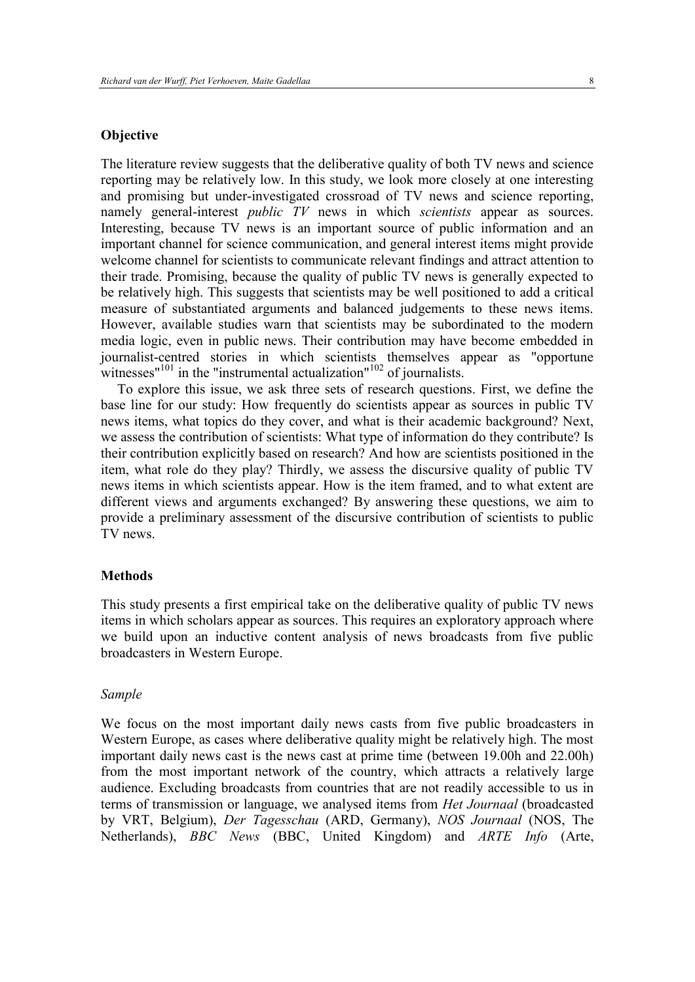### **Objective**

The literature review suggests that the deliberative quality of both TV news and science reporting may be relatively low. In this study, we look more closely at one interesting and promising but under-investigated crossroad of TV news and science reporting, namely general-interest *public TV* news in which *scientists* appear as sources. Interesting, because TV news is an important source of public information and an important channel for science communication, and general interest items might provide welcome channel for scientists to communicate relevant findings and attract attention to their trade. Promising, because the quality of public TV news is generally expected to be relatively high. This suggests that scientists may be well positioned to add a critical measure of substantiated arguments and balanced judgements to these news items. However, available studies warn that scientists may be subordinated to the modern media logic, even in public news. Their contribution may have become embedded in journalist-centred stories in which scientists themselves appear as "opportune witnesses<sup>"101</sup> in the "instrumental actualization"<sup>102</sup> of journalists.

To explore this issue, we ask three sets of research questions. First, we define the base line for our study: How frequently do scientists appear as sources in public TV news items, what topics do they cover, and what is their academic background? Next, we assess the contribution of scientists: What type of information do they contribute? Is their contribution explicitly based on research? And how are scientists positioned in the item, what role do they play? Thirdly, we assess the discursive quality of public TV news items in which scientists appear. How is the item framed, and to what extent are different views and arguments exchanged? By answering these questions, we aim to provide a preliminary assessment of the discursive contribution of scientists to public TV news.

#### **Methods**

This study presents a first empirical take on the deliberative quality of public TV news items in which scholars appear as sources. This requires an exploratory approach where we build upon an inductive content analysis of news broadcasts from five public broadcasters in Western Europe.

#### *Sample*

We focus on the most important daily news casts from five public broadcasters in Western Europe, as cases where deliberative quality might be relatively high. The most important daily news cast is the news cast at prime time (between 19.00h and 22.00h) from the most important network of the country, which attracts a relatively large audience. Excluding broadcasts from countries that are not readily accessible to us in terms of transmission or language, we analysed items from *Het Journaal* (broadcasted by VRT, Belgium), *Der Tagesschau* (ARD, Germany), *NOS Journaal* (NOS, The Netherlands), *BBC News* (BBC, United Kingdom) and *ARTE Info* (Arte,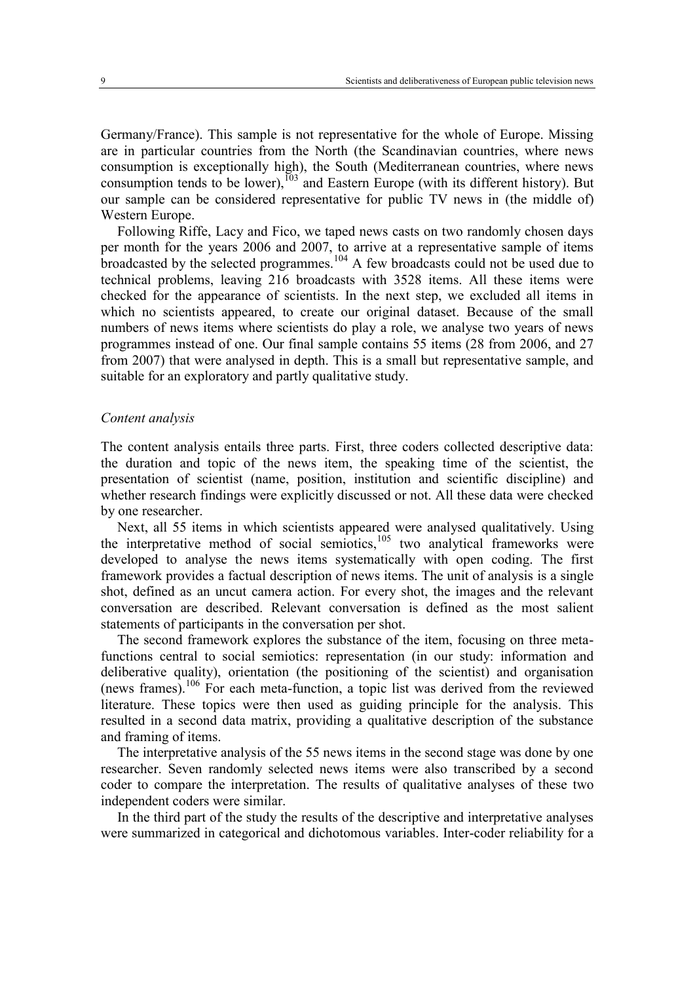Germany/France). This sample is not representative for the whole of Europe. Missing are in particular countries from the North (the Scandinavian countries, where news consumption is exceptionally high), the South (Mediterranean countries, where news consumption tends to be lower),<sup>103</sup> and Eastern Europe (with its different history). But our sample can be considered representative for public TV news in (the middle of) Western Europe.

Following Riffe, Lacy and Fico, we taped news casts on two randomly chosen days per month for the years 2006 and 2007, to arrive at a representative sample of items broadcasted by the selected programmes.<sup>104</sup> A few broadcasts could not be used due to technical problems, leaving 216 broadcasts with 3528 items. All these items were checked for the appearance of scientists. In the next step, we excluded all items in which no scientists appeared, to create our original dataset. Because of the small numbers of news items where scientists do play a role, we analyse two years of news programmes instead of one. Our final sample contains 55 items (28 from 2006, and 27 from 2007) that were analysed in depth. This is a small but representative sample, and suitable for an exploratory and partly qualitative study.

#### *Content analysis*

The content analysis entails three parts. First, three coders collected descriptive data: the duration and topic of the news item, the speaking time of the scientist, the presentation of scientist (name, position, institution and scientific discipline) and whether research findings were explicitly discussed or not. All these data were checked by one researcher.

Next, all 55 items in which scientists appeared were analysed qualitatively. Using the interpretative method of social semiotics, $105$  two analytical frameworks were developed to analyse the news items systematically with open coding. The first framework provides a factual description of news items. The unit of analysis is a single shot, defined as an uncut camera action. For every shot, the images and the relevant conversation are described. Relevant conversation is defined as the most salient statements of participants in the conversation per shot.

The second framework explores the substance of the item, focusing on three metafunctions central to social semiotics: representation (in our study: information and deliberative quality), orientation (the positioning of the scientist) and organisation (news frames).<sup>106</sup> For each meta-function, a topic list was derived from the reviewed literature. These topics were then used as guiding principle for the analysis. This resulted in a second data matrix, providing a qualitative description of the substance and framing of items.

The interpretative analysis of the 55 news items in the second stage was done by one researcher. Seven randomly selected news items were also transcribed by a second coder to compare the interpretation. The results of qualitative analyses of these two independent coders were similar.

In the third part of the study the results of the descriptive and interpretative analyses were summarized in categorical and dichotomous variables. Inter-coder reliability for a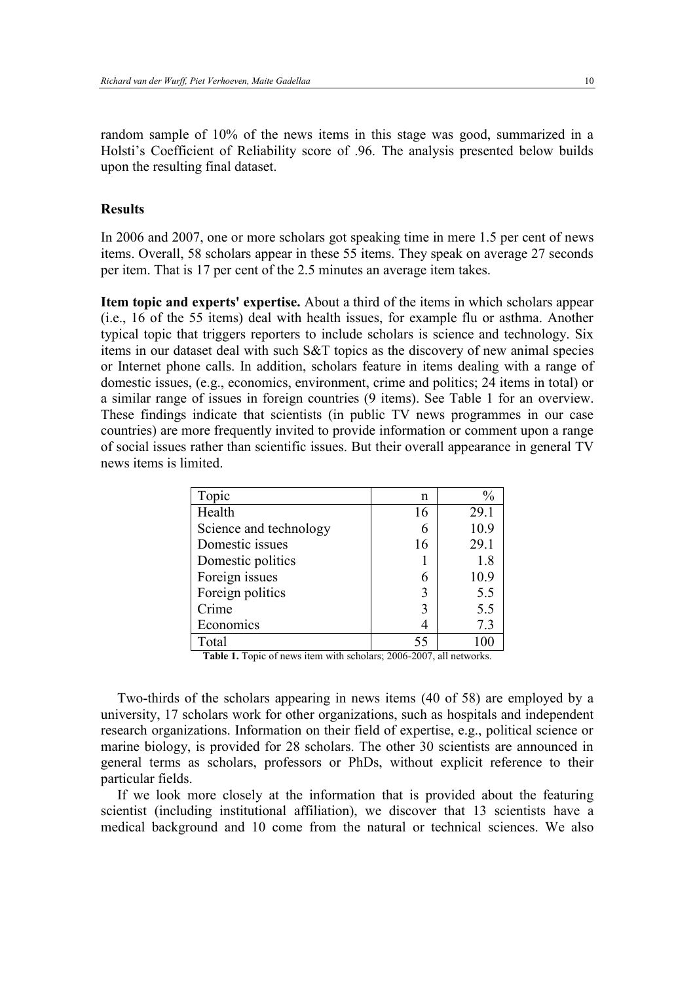random sample of 10% of the news items in this stage was good, summarized in a Holsti's Coefficient of Reliability score of .96. The analysis presented below builds upon the resulting final dataset.

#### **Results**

In 2006 and 2007, one or more scholars got speaking time in mere 1.5 per cent of news items. Overall, 58 scholars appear in these 55 items. They speak on average 27 seconds per item. That is 17 per cent of the 2.5 minutes an average item takes.

**Item topic and experts' expertise.** About a third of the items in which scholars appear (i.e., 16 of the 55 items) deal with health issues, for example flu or asthma. Another typical topic that triggers reporters to include scholars is science and technology. Six items in our dataset deal with such S&T topics as the discovery of new animal species or Internet phone calls. In addition, scholars feature in items dealing with a range of domestic issues, (e.g., economics, environment, crime and politics; 24 items in total) or a similar range of issues in foreign countries (9 items). See Table 1 for an overview. These findings indicate that scientists (in public TV news programmes in our case countries) are more frequently invited to provide information or comment upon a range of social issues rather than scientific issues. But their overall appearance in general TV news items is limited.

| Topic                  | n  | $\frac{0}{0}$ |
|------------------------|----|---------------|
| Health                 | 16 | 29.1          |
| Science and technology | 6  | 10.9          |
| Domestic issues        | 16 | 29.1          |
| Domestic politics      |    | 1.8           |
| Foreign issues         | 6  | 10.9          |
| Foreign politics       | 3  | 5.5           |
| Crime                  | 3  | 5.5           |
| Economics              |    | 7.3           |
| Total                  | 55 | 100           |

Table 1. Topic of news item with scholars; 2006-2007, all networks.

Two-thirds of the scholars appearing in news items (40 of 58) are employed by a university, 17 scholars work for other organizations, such as hospitals and independent research organizations. Information on their field of expertise, e.g., political science or marine biology, is provided for 28 scholars. The other 30 scientists are announced in general terms as scholars, professors or PhDs, without explicit reference to their particular fields.

If we look more closely at the information that is provided about the featuring scientist (including institutional affiliation), we discover that 13 scientists have a medical background and 10 come from the natural or technical sciences. We also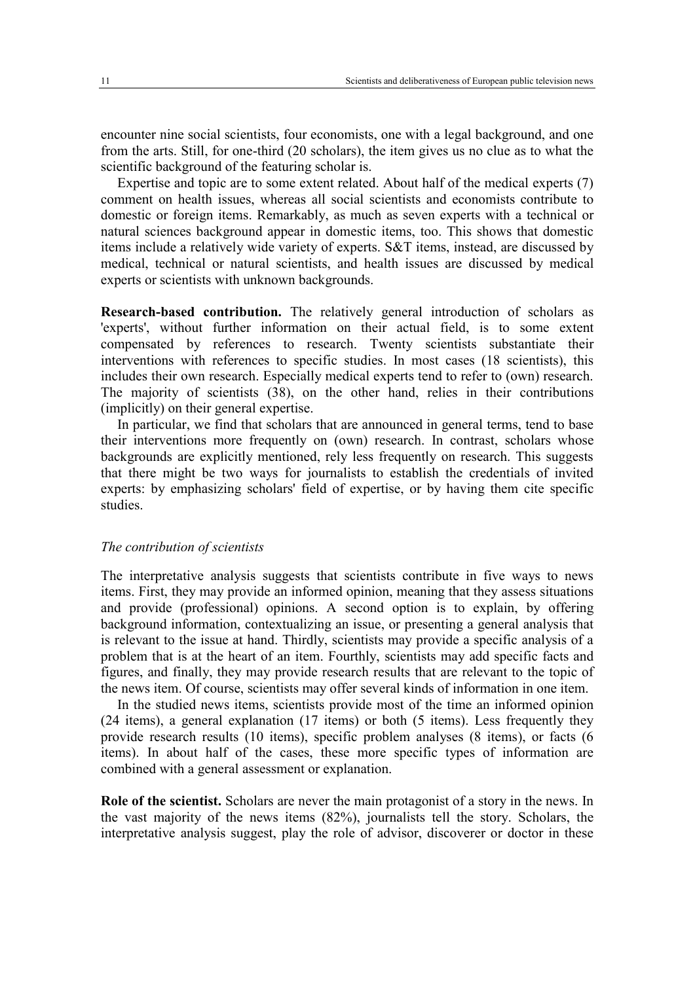encounter nine social scientists, four economists, one with a legal background, and one from the arts. Still, for one-third (20 scholars), the item gives us no clue as to what the scientific background of the featuring scholar is.

Expertise and topic are to some extent related. About half of the medical experts (7) comment on health issues, whereas all social scientists and economists contribute to domestic or foreign items. Remarkably, as much as seven experts with a technical or natural sciences background appear in domestic items, too. This shows that domestic items include a relatively wide variety of experts. S&T items, instead, are discussed by medical, technical or natural scientists, and health issues are discussed by medical experts or scientists with unknown backgrounds.

**Research-based contribution.** The relatively general introduction of scholars as 'experts', without further information on their actual field, is to some extent compensated by references to research. Twenty scientists substantiate their interventions with references to specific studies. In most cases (18 scientists), this includes their own research. Especially medical experts tend to refer to (own) research. The majority of scientists (38), on the other hand, relies in their contributions (implicitly) on their general expertise.

In particular, we find that scholars that are announced in general terms, tend to base their interventions more frequently on (own) research. In contrast, scholars whose backgrounds are explicitly mentioned, rely less frequently on research. This suggests that there might be two ways for journalists to establish the credentials of invited experts: by emphasizing scholars' field of expertise, or by having them cite specific studies.

#### *The contribution of scientists*

The interpretative analysis suggests that scientists contribute in five ways to news items. First, they may provide an informed opinion, meaning that they assess situations and provide (professional) opinions. A second option is to explain, by offering background information, contextualizing an issue, or presenting a general analysis that is relevant to the issue at hand. Thirdly, scientists may provide a specific analysis of a problem that is at the heart of an item. Fourthly, scientists may add specific facts and figures, and finally, they may provide research results that are relevant to the topic of the news item. Of course, scientists may offer several kinds of information in one item.

In the studied news items, scientists provide most of the time an informed opinion (24 items), a general explanation (17 items) or both (5 items). Less frequently they provide research results (10 items), specific problem analyses (8 items), or facts (6 items). In about half of the cases, these more specific types of information are combined with a general assessment or explanation.

**Role of the scientist.** Scholars are never the main protagonist of a story in the news. In the vast majority of the news items (82%), journalists tell the story. Scholars, the interpretative analysis suggest, play the role of advisor, discoverer or doctor in these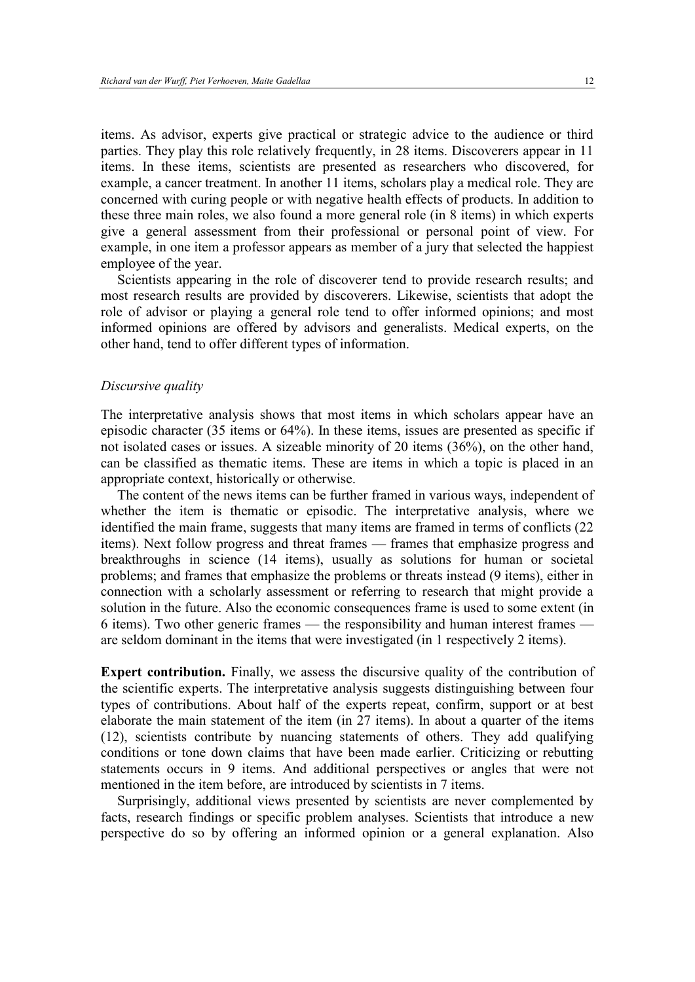items. As advisor, experts give practical or strategic advice to the audience or third parties. They play this role relatively frequently, in 28 items. Discoverers appear in 11 items. In these items, scientists are presented as researchers who discovered, for example, a cancer treatment. In another 11 items, scholars play a medical role. They are concerned with curing people or with negative health effects of products. In addition to these three main roles, we also found a more general role (in 8 items) in which experts give a general assessment from their professional or personal point of view. For example, in one item a professor appears as member of a jury that selected the happiest employee of the year.

Scientists appearing in the role of discoverer tend to provide research results; and most research results are provided by discoverers. Likewise, scientists that adopt the role of advisor or playing a general role tend to offer informed opinions; and most informed opinions are offered by advisors and generalists. Medical experts, on the other hand, tend to offer different types of information.

#### *Discursive quality*

The interpretative analysis shows that most items in which scholars appear have an episodic character (35 items or 64%). In these items, issues are presented as specific if not isolated cases or issues. A sizeable minority of 20 items (36%), on the other hand, can be classified as thematic items. These are items in which a topic is placed in an appropriate context, historically or otherwise.

The content of the news items can be further framed in various ways, independent of whether the item is thematic or episodic. The interpretative analysis, where we identified the main frame, suggests that many items are framed in terms of conflicts (22 items). Next follow progress and threat frames — frames that emphasize progress and breakthroughs in science (14 items), usually as solutions for human or societal problems; and frames that emphasize the problems or threats instead (9 items), either in connection with a scholarly assessment or referring to research that might provide a solution in the future. Also the economic consequences frame is used to some extent (in 6 items). Two other generic frames — the responsibility and human interest frames are seldom dominant in the items that were investigated (in 1 respectively 2 items).

**Expert contribution.** Finally, we assess the discursive quality of the contribution of the scientific experts. The interpretative analysis suggests distinguishing between four types of contributions. About half of the experts repeat, confirm, support or at best elaborate the main statement of the item (in 27 items). In about a quarter of the items (12), scientists contribute by nuancing statements of others. They add qualifying conditions or tone down claims that have been made earlier. Criticizing or rebutting statements occurs in 9 items. And additional perspectives or angles that were not mentioned in the item before, are introduced by scientists in 7 items.

Surprisingly, additional views presented by scientists are never complemented by facts, research findings or specific problem analyses. Scientists that introduce a new perspective do so by offering an informed opinion or a general explanation. Also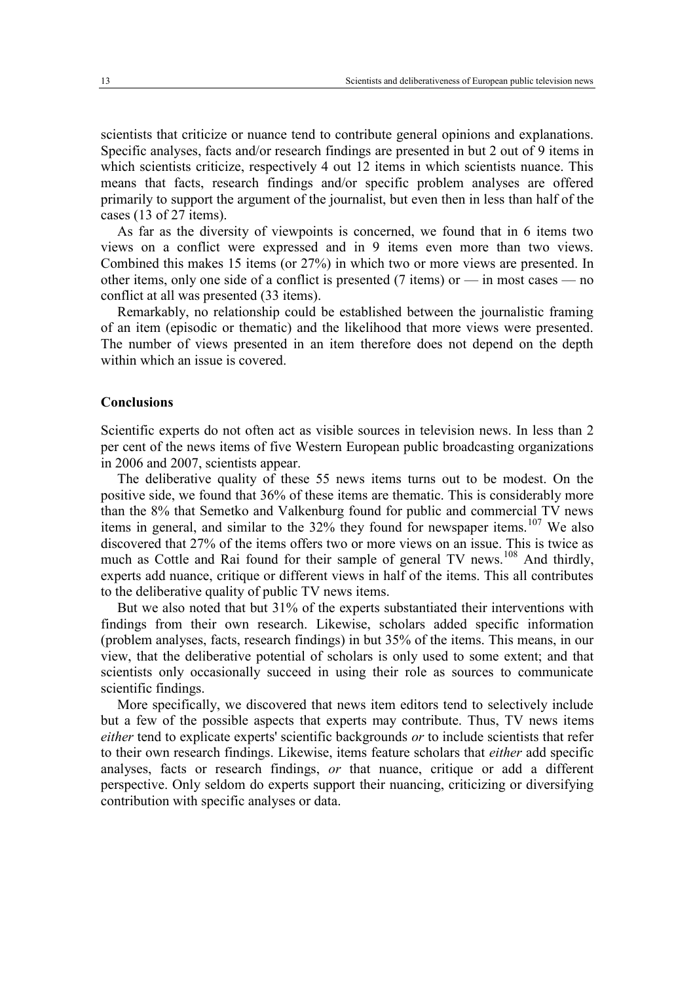scientists that criticize or nuance tend to contribute general opinions and explanations. Specific analyses, facts and/or research findings are presented in but 2 out of 9 items in which scientists criticize, respectively 4 out 12 items in which scientists nuance. This means that facts, research findings and/or specific problem analyses are offered primarily to support the argument of the journalist, but even then in less than half of the cases (13 of 27 items).

As far as the diversity of viewpoints is concerned, we found that in 6 items two views on a conflict were expressed and in 9 items even more than two views. Combined this makes 15 items (or 27%) in which two or more views are presented. In other items, only one side of a conflict is presented (7 items) or  $-$  in most cases  $-$  no conflict at all was presented (33 items).

Remarkably, no relationship could be established between the journalistic framing of an item (episodic or thematic) and the likelihood that more views were presented. The number of views presented in an item therefore does not depend on the depth within which an issue is covered.

#### **Conclusions**

Scientific experts do not often act as visible sources in television news. In less than 2 per cent of the news items of five Western European public broadcasting organizations in 2006 and 2007, scientists appear.

The deliberative quality of these 55 news items turns out to be modest. On the positive side, we found that 36% of these items are thematic. This is considerably more than the 8% that Semetko and Valkenburg found for public and commercial TV news items in general, and similar to the  $32\%$  they found for newspaper items.<sup>107</sup> We also discovered that 27% of the items offers two or more views on an issue. This is twice as much as Cottle and Rai found for their sample of general TV news.<sup>108</sup> And thirdly, experts add nuance, critique or different views in half of the items. This all contributes to the deliberative quality of public TV news items.

But we also noted that but 31% of the experts substantiated their interventions with findings from their own research. Likewise, scholars added specific information (problem analyses, facts, research findings) in but 35% of the items. This means, in our view, that the deliberative potential of scholars is only used to some extent; and that scientists only occasionally succeed in using their role as sources to communicate scientific findings.

More specifically, we discovered that news item editors tend to selectively include but a few of the possible aspects that experts may contribute. Thus, TV news items *either* tend to explicate experts' scientific backgrounds *or* to include scientists that refer to their own research findings. Likewise, items feature scholars that *either* add specific analyses, facts or research findings, *or* that nuance, critique or add a different perspective. Only seldom do experts support their nuancing, criticizing or diversifying contribution with specific analyses or data.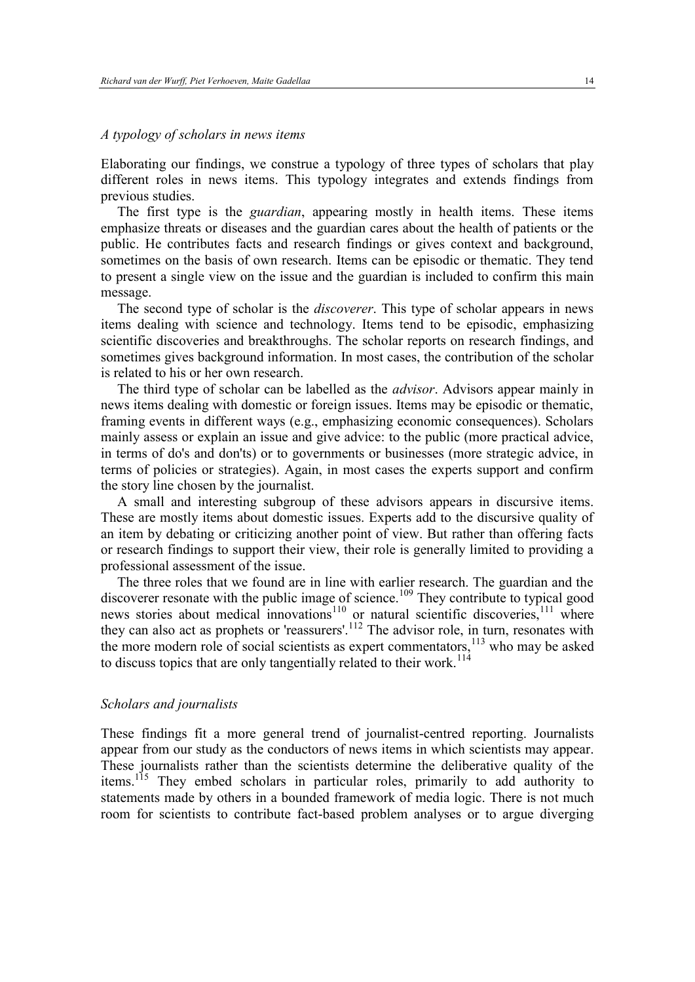#### *A typology of scholars in news items*

Elaborating our findings, we construe a typology of three types of scholars that play different roles in news items. This typology integrates and extends findings from previous studies.

The first type is the *guardian*, appearing mostly in health items. These items emphasize threats or diseases and the guardian cares about the health of patients or the public. He contributes facts and research findings or gives context and background, sometimes on the basis of own research. Items can be episodic or thematic. They tend to present a single view on the issue and the guardian is included to confirm this main message.

The second type of scholar is the *discoverer*. This type of scholar appears in news items dealing with science and technology. Items tend to be episodic, emphasizing scientific discoveries and breakthroughs. The scholar reports on research findings, and sometimes gives background information. In most cases, the contribution of the scholar is related to his or her own research.

The third type of scholar can be labelled as the *advisor*. Advisors appear mainly in news items dealing with domestic or foreign issues. Items may be episodic or thematic, framing events in different ways (e.g., emphasizing economic consequences). Scholars mainly assess or explain an issue and give advice: to the public (more practical advice, in terms of do's and don'ts) or to governments or businesses (more strategic advice, in terms of policies or strategies). Again, in most cases the experts support and confirm the story line chosen by the journalist.

A small and interesting subgroup of these advisors appears in discursive items. These are mostly items about domestic issues. Experts add to the discursive quality of an item by debating or criticizing another point of view. But rather than offering facts or research findings to support their view, their role is generally limited to providing a professional assessment of the issue.

The three roles that we found are in line with earlier research. The guardian and the discoverer resonate with the public image of science.<sup>109</sup> They contribute to typical good news stories about medical innovations<sup>110</sup> or natural scientific discoveries,<sup>111</sup> where they can also act as prophets or 'reassurers'.<sup>112</sup> The advisor role, in turn, resonates with the more modern role of social scientists as expert commentators,<sup>113</sup> who may be asked to discuss topics that are only tangentially related to their work.<sup>114</sup>

#### *Scholars and journalists*

These findings fit a more general trend of journalist-centred reporting. Journalists appear from our study as the conductors of news items in which scientists may appear. These journalists rather than the scientists determine the deliberative quality of the items.<sup>115</sup> They embed scholars in particular roles, primarily to add authority to statements made by others in a bounded framework of media logic. There is not much room for scientists to contribute fact-based problem analyses or to argue diverging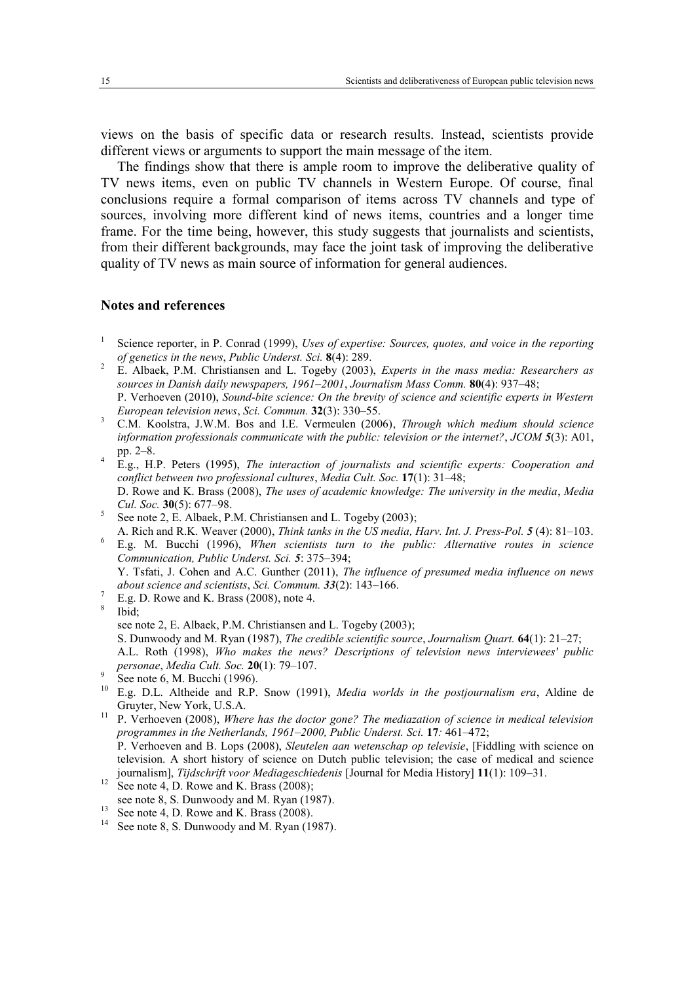views on the basis of specific data or research results. Instead, scientists provide different views or arguments to support the main message of the item.

The findings show that there is ample room to improve the deliberative quality of TV news items, even on public TV channels in Western Europe. Of course, final conclusions require a formal comparison of items across TV channels and type of sources, involving more different kind of news items, countries and a longer time frame. For the time being, however, this study suggests that journalists and scientists, from their different backgrounds, may face the joint task of improving the deliberative quality of TV news as main source of information for general audiences.

#### **Notes and references**

- 1 Science reporter, in P. Conrad (1999), *Uses of expertise: Sources, quotes, and voice in the reporting of genetics in the news*, *Public Underst. Sci.* **8**(4): 289.
- <sup>2</sup> E. Albaek, P.M. Christiansen and L. Togeby (2003), *Experts in the mass media: Researchers as sources in Danish daily newspapers, 1961–2001*, *Journalism Mass Comm.* **80**(4): 937–48; P. Verhoeven (2010), *Sound-bite science: On the brevity of science and scientific experts in Western European television news*, *Sci. Commun.* **32**(3): 330–55.
- <sup>3</sup> C.M. Koolstra, J.W.M. Bos and I.E. Vermeulen (2006), *Through which medium should science information professionals communicate with the public: television or the internet?*, *JCOM 5*(3): A01, pp. 2–8.
- <sup>4</sup> E.g., H.P. Peters (1995), *The interaction of journalists and scientific experts: Cooperation and conflict between two professional cultures*, *Media Cult. Soc.* **17**(1): 31–48; D. Rowe and K. Brass (2008), *The uses of academic knowledge: The university in the media*, *Media Cul. Soc.* **30**(5): 677–98.
- 5 See note 2, E. Albaek, P.M. Christiansen and L. Togeby (2003);
- A. Rich and R.K. Weaver (2000), *Think tanks in the US media, Harv. Int. J. Press-Pol. 5* (4): 81–103.
- <sup>6</sup> E.g. M. Bucchi (1996), *When scientists turn to the public: Alternative routes in science Communication, Public Underst. Sci. 5*: 375–394;
- Y. Tsfati, J. Cohen and A.C. Gunther (2011), *The influence of presumed media influence on news about science and scientists*, *Sci. Commum. 33*(2): 143–166.
- <sup>7</sup> E.g. D. Rowe and K. Brass (2008), note 4.
- 8 Ibid; see note 2, E. Albaek, P.M. Christiansen and L. Togeby (2003); S. Dunwoody and M. Ryan (1987), *The credible scientific source*, *Journalism Quart.* **64**(1): 21–27; A.L. Roth (1998), *Who makes the news? Descriptions of television news interviewees' public personae*, *Media Cult. Soc.* **20**(1): 79–107.
- 9 See note 6, M. Bucchi (1996).
- <sup>10</sup> E.g. D.L. Altheide and R.P. Snow (1991), *Media worlds in the postjournalism era*, Aldine de Gruyter, New York, U.S.A.
- <sup>11</sup> P. Verhoeven (2008), *Where has the doctor gone? The mediazation of science in medical television programmes in the Netherlands, 1961–2000, Public Underst. Sci.* **17***:* 461–472; P. Verhoeven and B. Lops (2008), *Sleutelen aan wetenschap op televisie*, [Fiddling with science on television. A short history of science on Dutch public television; the case of medical and science journalism], *Tijdschrift voor Mediageschiedenis* [Journal for Media History] **11**(1): 109–31.
- $12$  See note 4, D. Rowe and K. Brass (2008):
- see note 8, S. Dunwoody and M. Ryan (1987).
- <sup>13</sup> See note 4, D. Rowe and K. Brass (2008).
- <sup>14</sup> See note 8, S. Dunwoody and M. Ryan (1987).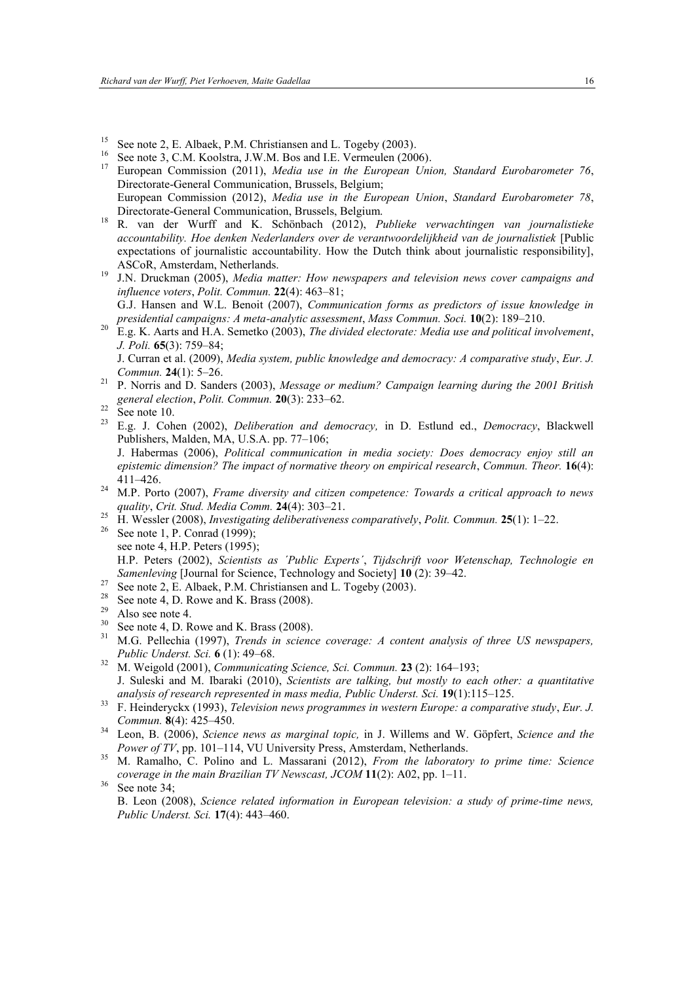- See note 2, E. Albaek, P.M. Christiansen and L. Togeby (2003).
- <sup>16</sup> See note 3, C.M. Koolstra, J.W.M. Bos and I.E. Vermeulen (2006).<br><sup>17</sup> European Commission (2011). *Media was in the European Uni*
- <sup>17</sup> European Commission (2011), *Media use in the European Union, Standard Eurobarometer 76*, Directorate-General Communication, Brussels, Belgium; European Commission (2012), *Media use in the European Union*, *Standard Eurobarometer 78*, Directorate-General Communication, Brussels, Belgium.
- <sup>18</sup> R. van der Wurff and K. Schönbach (2012), *Publieke verwachtingen van journalistieke accountability. Hoe denken Nederlanders over de verantwoordelijkheid van de journalistiek* [Public expectations of journalistic accountability. How the Dutch think about journalistic responsibility], ASCoR, Amsterdam, Netherlands.
- <sup>19</sup> J.N. Druckman (2005), *Media matter: How newspapers and television news cover campaigns and influence voters*, *Polit. Commun.* **22**(4): 463–81;
- G.J. Hansen and W.L. Benoit (2007), *Communication forms as predictors of issue knowledge in presidential campaigns: A meta-analytic assessment*, *Mass Commun. Soci.* **10**(2): 189–210.
- <sup>20</sup> E.g. K. Aarts and H.A. Semetko (2003), *The divided electorate: Media use and political involvement*, *J. Poli.* **65**(3): 759–84;

J. Curran et al. (2009), *Media system, public knowledge and democracy: A comparative study*, *Eur. J. Commun.* **24**(1): 5–26.

- <sup>21</sup> P. Norris and D. Sanders (2003), *Message or medium? Campaign learning during the 2001 British general election*, *Polit. Commun.* **20**(3): 233–62.
- $22$  See note 10.
- <sup>23</sup> E.g. J. Cohen (2002), *Deliberation and democracy,* in D. Estlund ed., *Democracy*, Blackwell Publishers, Malden, MA, U.S.A. pp. 77–106; J. Habermas (2006), *Political communication in media society: Does democracy enjoy still an epistemic dimension? The impact of normative theory on empirical research*, *Commun. Theor.* **16**(4):
- 411–426. <sup>24</sup> M.P. Porto (2007), *Frame diversity and citizen competence: Towards a critical approach to news quality*, *Crit. Stud. Media Comm.* **24**(4): 303–21.
- <sup>25</sup> H. Wessler (2008), *Investigating deliberativeness comparatively*, *Polit. Commun.* **25**(1): 1–22.
- <sup>26</sup> See note 1, P. Conrad (1999); see note 4, H.P. Peters (1995); H.P. Peters (2002), *Scientists as ´Public Experts´*, *Tijdschrift voor Wetenschap, Technologie en Samenleving* [Journal for Science, Technology and Society] **10** (2): 39–42.
- $27$  See note 2, E. Albaek, P.M. Christiansen and L. Togeby (2003).
- <sup>28</sup> See note 4, D. Rowe and K. Brass (2008).
- Also see note 4.
- $30$  See note 4, D. Rowe and K. Brass (2008).
- <sup>31</sup> M.G. Pellechia (1997), *Trends in science coverage: A content analysis of three US newspapers, Public Underst. Sci.* **6** (1): 49–68.
- <sup>32</sup> M. Weigold (2001), *Communicating Science, Sci. Commun.* **23** (2): 164–193; J. Suleski and M. Ibaraki (2010), *Scientists are talking, but mostly to each other: a quantitative analysis of research represented in mass media, Public Underst. Sci.* **19**(1):115–125.
- <sup>33</sup> F. Heinderyckx (1993), *Television news programmes in western Europe: a comparative study*, *Eur. J. Commun.* **8**(4): 425–450.
- <sup>34</sup> Leon, B. (2006), *Science news as marginal topic,* in J. Willems and W. Göpfert, *Science and the Power of TV*, pp. 101–114, VU University Press, Amsterdam, Netherlands.
- <sup>35</sup> M. Ramalho, C. Polino and L. Massarani (2012), *From the laboratory to prime time: Science coverage in the main Brazilian TV Newscast, JCOM* **11**(2): A02, pp. 1–11.
- $36$  See note 34:

B. Leon (2008), *Science related information in European television: a study of prime-time news, Public Underst. Sci.* **17**(4): 443–460.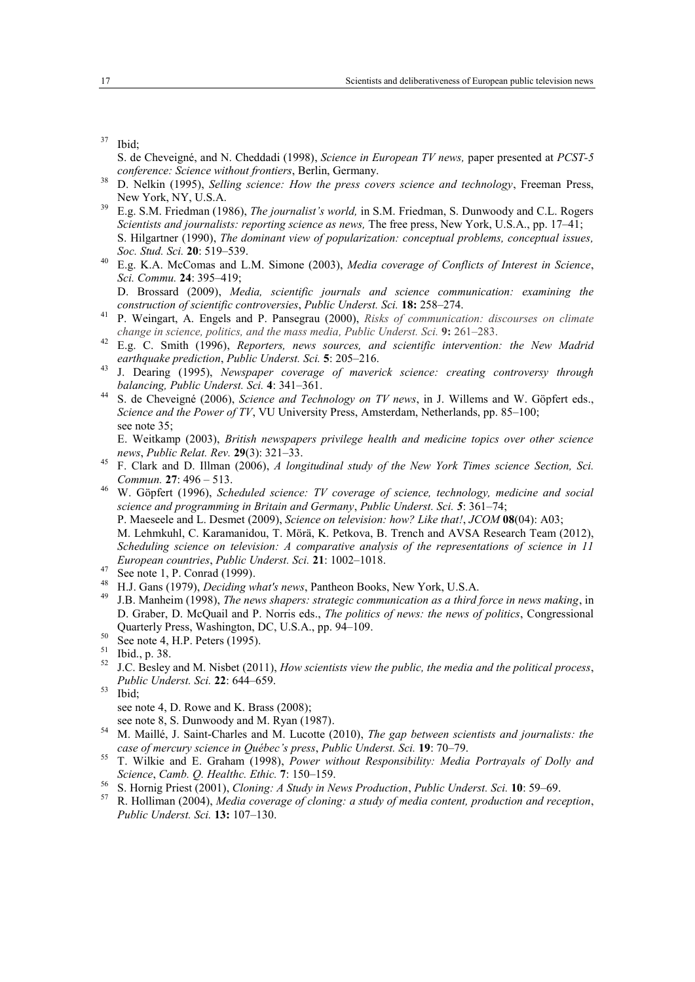```
37 Ibid;
```
- S. de Cheveigné, and N. Cheddadi (1998), *Science in European TV news,* paper presented at *PCST-5 conference: Science without frontiers*, Berlin, Germany.
- <sup>38</sup> D. Nelkin (1995), *Selling science: How the press covers science and technology*, Freeman Press, New York, NY, U.S.A.
- <sup>39</sup> E.g. S.M. Friedman (1986), *The journalist's world,* in S.M. Friedman, S. Dunwoody and C.L. Rogers *Scientists and journalists: reporting science as news,* The free press, New York, U.S.A., pp. 17–41; S. Hilgartner (1990), *The dominant view of popularization: conceptual problems, conceptual issues, Soc. Stud. Sci.* **20**: 519–539.
- <sup>40</sup> E.g. K.A. McComas and L.M. Simone (2003), *Media coverage of Conflicts of Interest in Science*, *Sci. Commu.* **24**: 395–419;

D. Brossard (2009), *Media, scientific journals and science communication: examining the construction of scientific controversies*, *Public Underst. Sci.* **18:** 258–274.

- <sup>41</sup> P. Weingart, A. Engels and P. Pansegrau (2000), *Risks of communication: discourses on climate change in science, politics, and the mass media, Public Underst. Sci.* **9:** 261–283.
- <sup>42</sup> E.g. C. Smith (1996), *Reporters, news sources, and scientific intervention: the New Madrid earthquake prediction*, *Public Underst. Sci.* **5**: 205–216.
- <sup>43</sup> J. Dearing (1995), *Newspaper coverage of maverick science: creating controversy through balancing, Public Underst. Sci.* **4**: 341–361.
- <sup>44</sup> S. de Cheveigné (2006), *Science and Technology on TV news*, in J. Willems and W. Göpfert eds., *Science and the Power of TV*, VU University Press, Amsterdam, Netherlands, pp. 85–100; see note 35;

E. Weitkamp (2003), *British newspapers privilege health and medicine topics over other science news*, *Public Relat. Rev.* **29**(3): 321–33.

- <sup>45</sup> F. Clark and D. Illman (2006), *A longitudinal study of the New York Times science Section, Sci. Commun.* **27**: 496 – 513.
- <sup>46</sup> W. Göpfert (1996), *Scheduled science: TV coverage of science, technology, medicine and social science and programming in Britain and Germany*, *Public Underst. Sci. 5*: 361–74; P. Maeseele and L. Desmet (2009), *Science on television: how? Like that!*, *JCOM* **08**(04): A03; M. Lehmkuhl, C. Karamanidou, T. Mörä, K. Petkova, B. Trench and AVSA Research Team (2012), *Scheduling science on television: A comparative analysis of the representations of science in 11 European countries*, *Public Underst. Sci.* **21**: 1002–1018.
- <sup>47</sup> See note 1, P. Conrad (1999).
- <sup>48</sup> H.J. Gans (1979), *Deciding what's news*, Pantheon Books, New York, U.S.A.
- <sup>49</sup> J.B. Manheim (1998), *The news shapers: strategic communication as a third force in news making*, in D. Graber, D. McQuail and P. Norris eds., *The politics of news: the news of politics*, Congressional Quarterly Press, Washington, DC, U.S.A., pp. 94–109.
- $50$  See note 4, H.P. Peters (1995).
- <sup>51</sup> Ibid., p. 38.
- <sup>52</sup> J.C. Besley and M. Nisbet (2011), *How scientists view the public, the media and the political process*, *Public Underst. Sci.* **22**: 644–659.
- <sup>53</sup> Ibid; see note 4, D. Rowe and K. Brass (2008); see note 8, S. Dunwoody and M. Ryan (1987).
- <sup>54</sup> M. Maillé, J. Saint-Charles and M. Lucotte (2010), *The gap between scientists and journalists: the case of mercury science in Québec's press*, *Public Underst. Sci.* **19**: 70–79.
- <sup>55</sup> T. Wilkie and E. Graham (1998), *Power without Responsibility: Media Portrayals of Dolly and Science*, *Camb. Q. Healthc. Ethic.* **7**: 150–159.
- <sup>56</sup> S. Hornig Priest (2001), *Cloning: A Study in News Production*, *Public Underst. Sci.* **10**: 59–69.
- <sup>57</sup> R. Holliman (2004), *Media coverage of cloning: a study of media content, production and reception*, *Public Underst. Sci.* **13:** 107–130.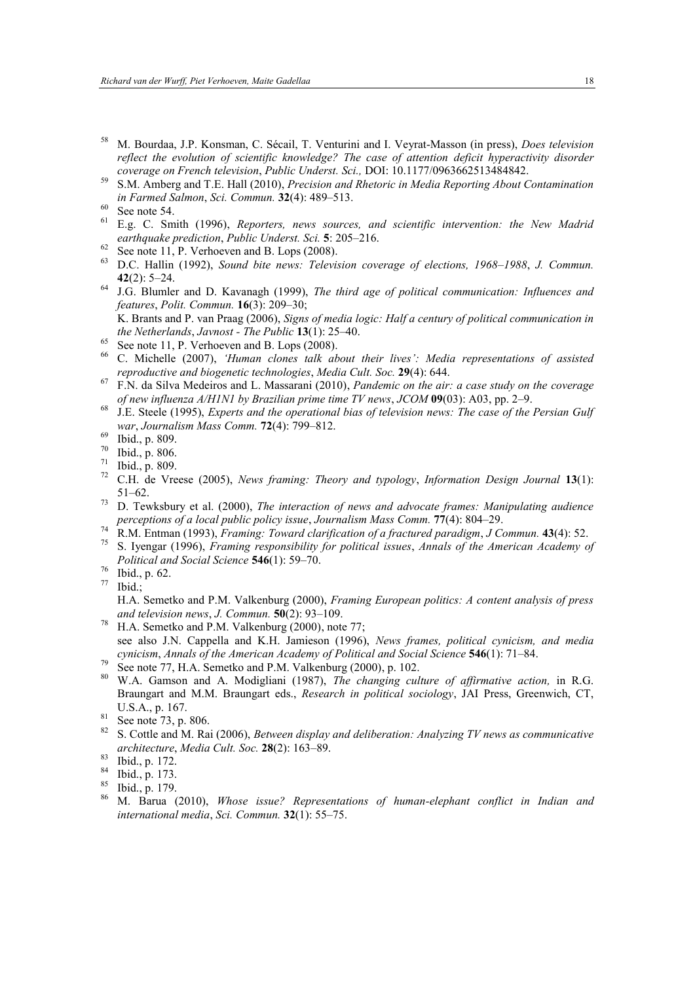- <sup>58</sup> M. Bourdaa, J.P. Konsman, C. Sécail, T. Venturini and I. Veyrat-Masson (in press), *Does television reflect the evolution of scientific knowledge? The case of attention deficit hyperactivity disorder coverage on French television*, *Public Underst. Sci.,* DOI: 10.1177/0963662513484842.
- <sup>59</sup> S.M. Amberg and T.E. Hall (2010), *Precision and Rhetoric in Media Reporting About Contamination in Farmed Salmon*, *Sci. Commun.* **32**(4): 489–513.

- <sup>61</sup> E.g. C. Smith (1996), *Reporters, news sources, and scientific intervention: the New Madrid earthquake prediction*, *Public Underst. Sci.* **5**: 205–216.
- $62$  See note 11, P. Verhoeven and B. Lops (2008).
- <sup>63</sup> D.C. Hallin (1992), *Sound bite news: Television coverage of elections, 1968–1988*, *J. Commun.* **42**(2): 5–24.
- <sup>64</sup> J.G. Blumler and D. Kavanagh (1999), *The third age of political communication: Influences and features*, *Polit. Commun.* **16**(3): 209–30;

K. Brants and P. van Praag (2006), *Signs of media logic: Half a century of political communication in the Netherlands*, *Javnost - The Public* **13**(1): 25–40.

- $65$  See note 11, P. Verhoeven and B. Lops (2008).
- <sup>66</sup> C. Michelle (2007), *'Human clones talk about their lives': Media representations of assisted reproductive and biogenetic technologies*, *Media Cult. Soc.* **29**(4): 644.
- <sup>67</sup> F.N. da Silva Medeiros and L. Massarani (2010), *Pandemic on the air: a case study on the coverage of new influenza A/H1N1 by Brazilian prime time TV news*, *JCOM* **09**(03): A03, pp. 2–9.
- <sup>68</sup> J.E. Steele (1995), *Experts and the operational bias of television news: The case of the Persian Gulf war*, *Journalism Mass Comm.* **72**(4): 799–812.
- $^{69}$  Ibid., p. 809.
- $\frac{70}{71}$  Ibid., p. 806.
- $^{71}$  Ibid., p. 809.<br> $^{72}$  CH de Vre
- <sup>72</sup> C.H. de Vreese (2005), *News framing: Theory and typology*, *Information Design Journal* **13**(1): 51–62.
- <sup>73</sup> D. Tewksbury et al. (2000), *The interaction of news and advocate frames: Manipulating audience perceptions of a local public policy issue*, *Journalism Mass Comm.* **77**(4): 804–29.
- <sup>74</sup> R.M. Entman (1993), *Framing: Toward clarification of a fractured paradigm*, *J Commun.* **43**(4): 52.
- <sup>75</sup> S. Iyengar (1996), *Framing responsibility for political issues*, *Annals of the American Academy of Political and Social Science* **546**(1): 59–70.
- $\frac{76}{77}$  Ibid., p. 62.
- Ibid.:

H.A. Semetko and P.M. Valkenburg (2000), *Framing European politics: A content analysis of press and television news*, *J. Commun.* **50**(2): 93–109.

- <sup>78</sup> H.A. Semetko and P.M. Valkenburg (2000), note 77; see also J.N. Cappella and K.H. Jamieson (1996), *News frames, political cynicism, and media cynicism*, *Annals of the American Academy of Political and Social Science* **546**(1): 71–84.
- $79$  See note 77, H.A. Semetko and P.M. Valkenburg (2000), p. 102.
- <sup>80</sup> W.A. Gamson and A. Modigliani (1987), *The changing culture of affirmative action,* in R.G. Braungart and M.M. Braungart eds., *Research in political sociology*, JAI Press, Greenwich, CT, U.S.A., p. 167.

<sup>82</sup> S. Cottle and M. Rai (2006), *Between display and deliberation: Analyzing TV news as communicative architecture*, *Media Cult. Soc.* **28**(2): 163–89.

 $^{60}_{61}$  See note 54.

 $rac{81}{82}$  See note 73, p. 806.

 $\frac{83}{84}$  Ibid., p. 172.

 $\frac{84}{85}$  Ibid., p. 173.

 $\frac{85}{86}$  Ibid., p. 179.

<sup>86</sup> M. Barua (2010), *Whose issue? Representations of human-elephant conflict in Indian and international media*, *Sci. Commun.* **32**(1): 55–75.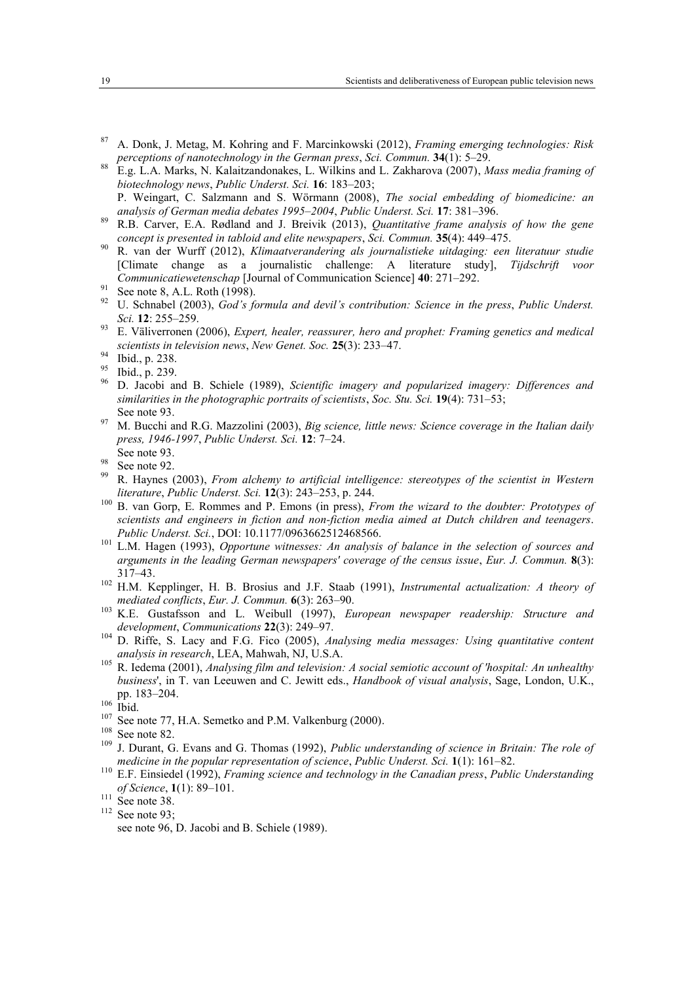- <sup>87</sup> A. Donk, J. Metag, M. Kohring and F. Marcinkowski (2012), *Framing emerging technologies: Risk perceptions of nanotechnology in the German press*, *Sci. Commun.* **34**(1): 5–29.
- <sup>88</sup> E.g. L.A. Marks, N. Kalaitzandonakes, L. Wilkins and L. Zakharova (2007), *Mass media framing of biotechnology news*, *Public Underst. Sci.* **16**: 183–203;
- P. Weingart, C. Salzmann and S. Wörmann (2008), *The social embedding of biomedicine: an analysis of German media debates 1995–2004*, *Public Underst. Sci.* **17**: 381–396.
- <sup>89</sup> R.B. Carver, E.A. Rødland and J. Breivik (2013), *Quantitative frame analysis of how the gene concept is presented in tabloid and elite newspapers*, *Sci. Commun.* **35**(4): 449–475.
- <sup>90</sup> R. van der Wurff (2012), *Klimaatverandering als journalistieke uitdaging: een literatuur studie* [Climate change as a journalistic challenge: A literature study], *Tijdschrift voor Communicatiewetenschap* [Journal of Communication Science] **40**: 271–292.
- $91$  See note 8, A.L. Roth (1998).
- <sup>92</sup> U. Schnabel (2003), *God's formula and devil's contribution: Science in the press*, *Public Underst. Sci.* **12**: 255–259.
- <sup>93</sup> E. Väliverronen (2006), *Expert, healer, reassurer, hero and prophet: Framing genetics and medical scientists in television news*, *New Genet. Soc.* **25**(3): 233–47.

- $^{95}$  Ibid., p. 239.
- <sup>96</sup> D. Jacobi and B. Schiele (1989), *Scientific imagery and popularized imagery: Differences and similarities in the photographic portraits of scientists*, *Soc. Stu. Sci.* **19**(4): 731–53; See note 93.
- <sup>97</sup> M. Bucchi and R.G. Mazzolini (2003), *Big science, little news: Science coverage in the Italian daily press, 1946-1997*, *Public Underst. Sci.* **12**: 7–24.
- See note 93.
- $\frac{98}{99}$  See note 92. <sup>99</sup> R. Haynes (2003), *From alchemy to artificial intelligence: stereotypes of the scientist in Western literature*, *Public Underst. Sci.* **12**(3): 243–253, p. 244.
- <sup>100</sup> B. van Gorp, E. Rommes and P. Emons (in press), *From the wizard to the doubter: Prototypes of scientists and engineers in fiction and non-fiction media aimed at Dutch children and teenagers*. *Public Underst. Sci.*, DOI: 10.1177/0963662512468566.
- <sup>101</sup> L.M. Hagen (1993), *Opportune witnesses: An analysis of balance in the selection of sources and arguments in the leading German newspapers' coverage of the census issue*, *Eur. J. Commun.* **8**(3): 317–43.
- <sup>102</sup> H.M. Kepplinger, H. B. Brosius and J.F. Staab (1991), *Instrumental actualization: A theory of mediated conflicts*, *Eur. J. Commun.* **6**(3): 263–90.
- <sup>103</sup> K.E. Gustafsson and L. Weibull (1997), *European newspaper readership: Structure and development*, *Communications* **22**(3): 249–97.
- <sup>104</sup> D. Riffe, S. Lacy and F.G. Fico (2005), *Analysing media messages: Using quantitative content analysis in research*, LEA, Mahwah, NJ, U.S.A.
- <sup>105</sup> R. Iedema (2001), *Analysing film and television: A social semiotic account of 'hospital: An unhealthy business*', in T. van Leeuwen and C. Jewitt eds., *Handbook of visual analysis*, Sage, London, U.K., pp. 183–204.

 $^{107}$  See note 77, H.A. Semetko and P.M. Valkenburg (2000).

- <sup>109</sup> J. Durant, G. Evans and G. Thomas (1992), *Public understanding of science in Britain: The role of medicine in the popular representation of science*, *Public Underst. Sci.* **1**(1): 161–82.
- <sup>110</sup> E.F. Einsiedel (1992), *Framing science and technology in the Canadian press*, *Public Understanding of Science*, **1**(1): 89–101.

 $^{94}$  Ibid., p. 238.

 $\frac{106}{107}$  Ibid.

 $\frac{108}{109}$  See note 82.

 $\frac{111}{112}$  See note 38.

See note 93;

see note 96, D. Jacobi and B. Schiele (1989).